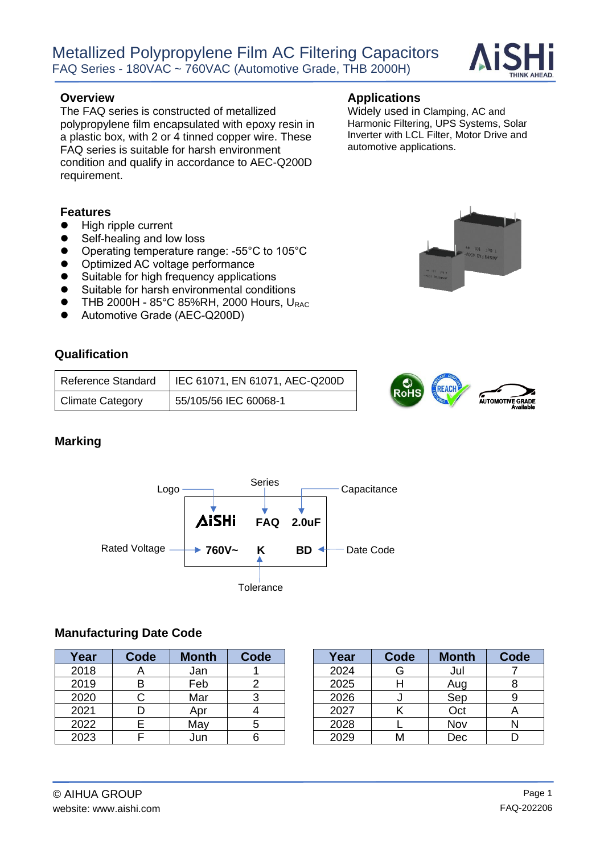

The FAQ series is constructed of metallized polypropylene film encapsulated with epoxy resin in a plastic box, with 2 or 4 tinned copper wire. These FAQ series is suitable for harsh environment condition and qualify in accordance to AEC-Q200D requirement.

#### **Features**

- ⚫ High ripple current
- ⚫ Self-healing and low loss
- ⚫ Operating temperature range: -55°C to 105°C
- ⚫ Optimized AC voltage performance
- ⚫ Suitable for high frequency applications
- ⚫ Suitable for harsh environmental conditions
- $\bullet$  THB 2000H 85°C 85%RH, 2000 Hours, U<sub>RAC</sub>
- ⚫ Automotive Grade (AEC-Q200D)

## **Qualification**

| Reference Standard      | IEC 61071, EN 61071, AEC-Q200D |             | <b>AREACHE</b> |                                      |
|-------------------------|--------------------------------|-------------|----------------|--------------------------------------|
| <b>Climate Category</b> | 55/105/56 IEC 60068-1          | <b>RoHS</b> |                | <b>AUTOMOTIVE GRADE</b><br>Available |

#### **Marking**



#### **Manufacturing Date Code**

| Year | Code | <b>Month</b> | Code | Year | Code | <b>Month</b> | Code |
|------|------|--------------|------|------|------|--------------|------|
| 2018 | n.   | Jan          |      | 2024 | G    | Jul          |      |
| 2019 |      | Feb          |      | 2025 |      | Aug          |      |
| 2020 |      | Mar          |      | 2026 |      | Sep          |      |
| 2021 |      | Apr          |      | 2027 |      | Oct          |      |
| 2022 |      | May          | G    | 2028 |      | Nov          |      |
| 2023 |      | Jun          |      | 2029 | Μ    | Dec          |      |

| Year | Code | <b>Month</b> | Code |
|------|------|--------------|------|
| 2024 | G    | Jul          |      |
| 2025 |      | Aug          |      |
| 2026 |      | Sep          |      |
| 2027 |      | Oct          |      |
| 2028 |      | Nov          |      |
| 2029 |      | Dec          |      |

Widely used in Clamping, AC and Harmonic Filtering, UPS Systems, Solar Inverter with LCL Filter, Motor Drive and automotive applications.



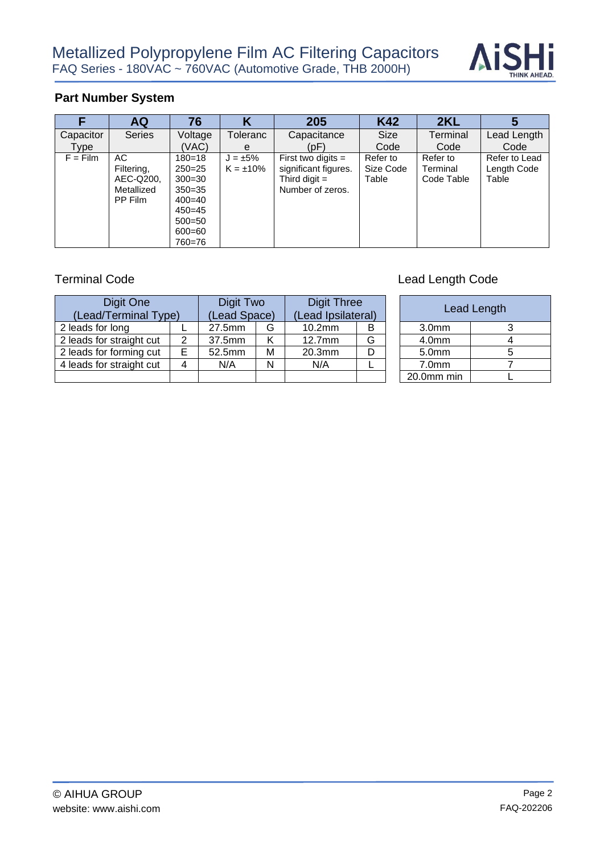

## **Part Number System**

|            | <b>AQ</b>                                              | 76                                                                                                                   |                                 | 205                                                                                 | K42                            | 2KL                                |                                       |
|------------|--------------------------------------------------------|----------------------------------------------------------------------------------------------------------------------|---------------------------------|-------------------------------------------------------------------------------------|--------------------------------|------------------------------------|---------------------------------------|
| Capacitor  | <b>Series</b>                                          | Voltage                                                                                                              | Toleranc                        | Capacitance                                                                         | <b>Size</b>                    | Terminal                           | Lead Length                           |
| Type       |                                                        | (VAC)                                                                                                                | e                               | (pF)                                                                                | Code                           | Code                               | Code                                  |
| $F = Film$ | AC<br>Filtering,<br>AEC-Q200,<br>Metallized<br>PP Film | $180 = 18$<br>$250 = 25$<br>$300 = 30$<br>$350 = 35$<br>$400=40$<br>$450 = 45$<br>$500 = 50$<br>$600 = 60$<br>760=76 | $J = \pm 5\%$<br>$K = \pm 10\%$ | First two digits $=$<br>significant figures.<br>Third digit $=$<br>Number of zeros. | Refer to<br>Size Code<br>Table | Refer to<br>Terminal<br>Code Table | Refer to Lead<br>Length Code<br>Table |

| Digit One<br>(Lead/Terminal Type) |   | Digit Two<br>(Lead Space) |   | Digit Three<br>(Lead Ipsilateral) |   |                   | <b>Lead Length</b> |
|-----------------------------------|---|---------------------------|---|-----------------------------------|---|-------------------|--------------------|
| 2 leads for long                  |   | 27.5mm                    | G | $10.2$ mm                         | В | 3.0 <sub>mm</sub> |                    |
| 2 leads for straight cut          | 2 | 37.5mm                    |   | $12.7$ mm                         | G | 4.0mm             | Δ                  |
| 2 leads for forming cut           | E | 52.5mm                    | M | 20.3mm                            | D | 5.0mm             | 5                  |
| 4 leads for straight cut          |   | N/A                       | N | N/A                               |   | 7.0 <sub>mm</sub> |                    |
|                                   |   |                           |   |                                   |   | 20.0mm min        |                    |

# **Terminal Code Lead Length Code**

| <b>Digit Three</b><br>(Lead Ipsilateral) |   |                   | Lead Length |
|------------------------------------------|---|-------------------|-------------|
| 10.2mm                                   |   | 3.0 <sub>mm</sub> |             |
| $12.7$ mm                                | G | 4.0 <sub>mm</sub> |             |
| 20.3mm                                   |   | 5.0mm             |             |
| N/A                                      |   | 7.0 <sub>mm</sub> |             |
|                                          |   | 20.0mm min        |             |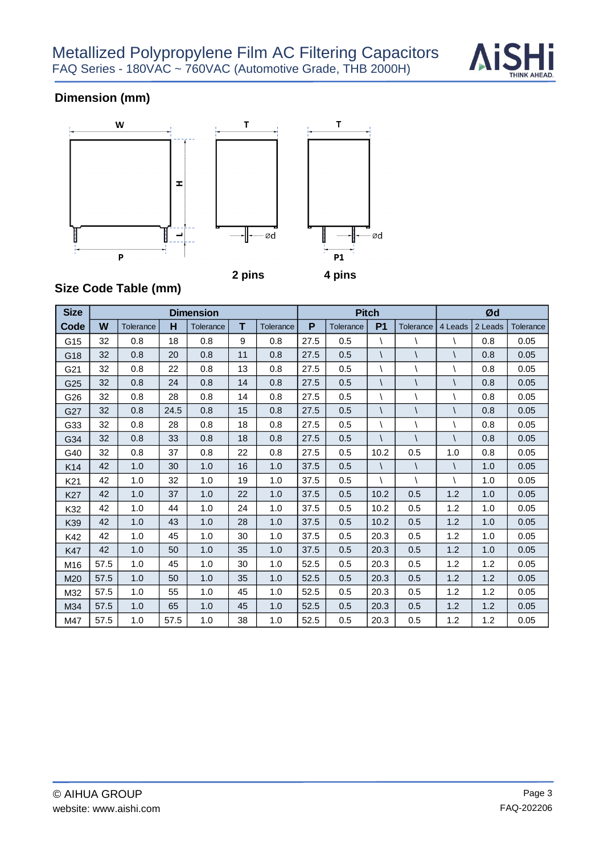

## **Dimension (mm)**



# **Size Code Table (mm)**

| <b>Size</b>     |      |           |      | <b>Dimension</b> |    |           |      |           | <b>Pitch</b>   |           | Ød           |         |           |  |
|-----------------|------|-----------|------|------------------|----|-----------|------|-----------|----------------|-----------|--------------|---------|-----------|--|
| Code            | W    | Tolerance | н    | Tolerance        | т  | Tolerance | P    | Tolerance | P <sub>1</sub> | Tolerance | 4 Leads      | 2 Leads | Tolerance |  |
| G15             | 32   | 0.8       | 18   | 0.8              | 9  | 0.8       | 27.5 | 0.5       | $\lambda$      | Λ         |              | 0.8     | 0.05      |  |
| G18             | 32   | 0.8       | 20   | 0.8              | 11 | 0.8       | 27.5 | 0.5       |                |           |              | 0.8     | 0.05      |  |
| G21             | 32   | 0.8       | 22   | 0.8              | 13 | 0.8       | 27.5 | 0.5       |                |           |              | 0.8     | 0.05      |  |
| G25             | 32   | 0.8       | 24   | 0.8              | 14 | 0.8       | 27.5 | 0.5       |                |           |              | 0.8     | 0.05      |  |
| G26             | 32   | 0.8       | 28   | 0.8              | 14 | 0.8       | 27.5 | 0.5       |                |           |              | 0.8     | 0.05      |  |
| G27             | 32   | 0.8       | 24.5 | 0.8              | 15 | 0.8       | 27.5 | 0.5       |                |           | $\backslash$ | 0.8     | 0.05      |  |
| G33             | 32   | 0.8       | 28   | 0.8              | 18 | 0.8       | 27.5 | 0.5       |                |           | Ι            | 0.8     | 0.05      |  |
| G34             | 32   | 0.8       | 33   | 0.8              | 18 | 0.8       | 27.5 | 0.5       |                |           |              | 0.8     | 0.05      |  |
| G40             | 32   | 0.8       | 37   | 0.8              | 22 | 0.8       | 27.5 | 0.5       | 10.2           | 0.5       | 1.0          | 0.8     | 0.05      |  |
| K <sub>14</sub> | 42   | 1.0       | 30   | 1.0              | 16 | 1.0       | 37.5 | 0.5       |                |           |              | 1.0     | 0.05      |  |
| K <sub>21</sub> | 42   | 1.0       | 32   | 1.0              | 19 | 1.0       | 37.5 | 0.5       |                |           |              | 1.0     | 0.05      |  |
| <b>K27</b>      | 42   | 1.0       | 37   | 1.0              | 22 | 1.0       | 37.5 | 0.5       | 10.2           | 0.5       | 1.2          | 1.0     | 0.05      |  |
| K32             | 42   | 1.0       | 44   | 1.0              | 24 | 1.0       | 37.5 | 0.5       | 10.2           | 0.5       | 1.2          | 1.0     | 0.05      |  |
| K39             | 42   | 1.0       | 43   | 1.0              | 28 | 1.0       | 37.5 | 0.5       | 10.2           | 0.5       | 1.2          | 1.0     | 0.05      |  |
| K42             | 42   | 1.0       | 45   | 1.0              | 30 | 1.0       | 37.5 | 0.5       | 20.3           | 0.5       | 1.2          | 1.0     | 0.05      |  |
| K47             | 42   | 1.0       | 50   | 1.0              | 35 | 1.0       | 37.5 | 0.5       | 20.3           | 0.5       | 1.2          | 1.0     | 0.05      |  |
| M16             | 57.5 | 1.0       | 45   | 1.0              | 30 | 1.0       | 52.5 | 0.5       | 20.3           | 0.5       | 1.2          | 1.2     | 0.05      |  |
| M20             | 57.5 | 1.0       | 50   | 1.0              | 35 | 1.0       | 52.5 | 0.5       | 20.3           | 0.5       | 1.2          | 1.2     | 0.05      |  |
| M32             | 57.5 | 1.0       | 55   | 1.0              | 45 | 1.0       | 52.5 | 0.5       | 20.3           | 0.5       | 1.2          | 1.2     | 0.05      |  |
| M34             | 57.5 | 1.0       | 65   | 1.0              | 45 | 1.0       | 52.5 | 0.5       | 20.3           | 0.5       | 1.2          | 1.2     | 0.05      |  |
| M47             | 57.5 | 1.0       | 57.5 | 1.0              | 38 | 1.0       | 52.5 | 0.5       | 20.3           | 0.5       | 1.2          | 1.2     | 0.05      |  |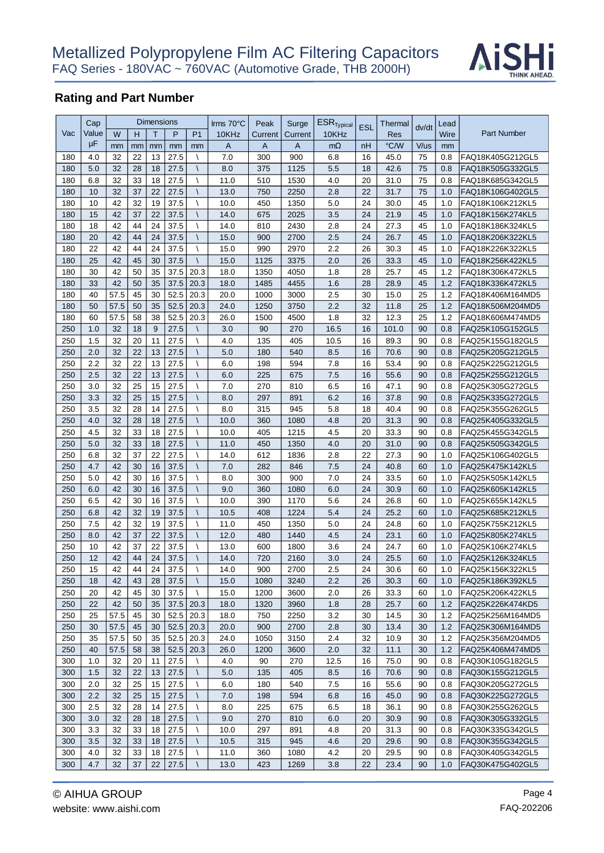

|     | Cap   |      |    | <b>Dimensions</b> |      |                          | Irms 70°C | Peak    | Surge   | $ESR$ <sub>Typical</sub> |            | Thermal |       | Lead  |                  |
|-----|-------|------|----|-------------------|------|--------------------------|-----------|---------|---------|--------------------------|------------|---------|-------|-------|------------------|
| Vac | Value | W    | H  | т                 | P    | P <sub>1</sub>           | 10KHz     | Current | Current | 10KHz                    | <b>ESL</b> | Res     | dv/dt | Wire  | Part Number      |
|     | μF    | mm   | mm | mm                | mm   | mm                       | A         | A       | A       | $m\Omega$                | nH         | °C/W    | V/us  | mm    |                  |
| 180 | 4.0   | 32   | 22 | 13                | 27.5 |                          | 7.0       | 300     | 900     | 6.8                      | 16         | 45.0    | 75    | 0.8   | FAQ18K405G212GL5 |
| 180 | 5.0   | 32   | 28 | 18                | 27.5 | $\sqrt{2}$               | 8.0       | 375     | 1125    | 5.5                      | 18         | 42.6    | 75    | 0.8   | FAQ18K505G332GL5 |
| 180 | 6.8   | 32   | 33 | 18                | 27.5 | Λ                        | 11.0      | 510     | 1530    | 4.0                      | 20         | 31.0    | 75    | 0.8   | FAQ18K685G342GL5 |
| 180 | 10    | 32   | 37 | 22                | 27.5 | $\sqrt{2}$               | 13.0      | 750     | 2250    | 2.8                      | 22         | 31.7    | 75    | 1.0   | FAQ18K106G402GL5 |
| 180 | 10    | 42   | 32 | 19                | 37.5 | Λ                        | 10.0      | 450     | 1350    | 5.0                      | 24         | 30.0    | 45    | 1.0   | FAQ18K106K212KL5 |
| 180 | 15    | 42   | 37 | 22                | 37.5 | $\backslash$             | 14.0      | 675     | 2025    | 3.5                      | 24         | 21.9    | 45    | 1.0   | FAQ18K156K274KL5 |
| 180 | 18    | 42   | 44 | 24                | 37.5 | $\lambda$                | 14.0      | 810     | 2430    | 2.8                      | 24         | 27.3    | 45    | 1.0   | FAQ18K186K324KL5 |
| 180 | 20    | 42   | 44 | 24                | 37.5 | $\overline{\mathcal{L}}$ | 15.0      | 900     | 2700    | 2.5                      | 24         | 26.7    | 45    | 1.0   | FAQ18K206K322KL5 |
| 180 | 22    | 42   | 44 | 24                | 37.5 | $\lambda$                | 15.0      | 990     | 2970    | 2.2                      | 26         | 30.3    | 45    | 1.0   | FAQ18K226K322KL5 |
| 180 | 25    | 42   | 45 | 30                | 37.5 | $\sqrt{2}$               | 15.0      | 1125    | 3375    | 2.0                      | 26         | 33.3    | 45    | 1.0   | FAQ18K256K422KL5 |
| 180 | 30    | 42   | 50 | 35                | 37.5 | 20.3                     | 18.0      | 1350    | 4050    | 1.8                      | 28         | 25.7    | 45    | 1.2   | FAQ18K306K472KL5 |
| 180 | 33    | 42   | 50 | 35                | 37.5 | 20.3                     | 18.0      | 1485    | 4455    | 1.6                      | 28         | 28.9    | 45    | 1.2   | FAQ18K336K472KL5 |
| 180 | 40    | 57.5 | 45 | 30                | 52.5 | 20.3                     | 20.0      | 1000    | 3000    | 2.5                      | 30         | 15.0    | 25    | 1.2   | FAQ18K406M164MD5 |
| 180 | 50    | 57.5 | 50 | 35                | 52.5 | 20.3                     | 24.0      | 1250    | 3750    | 2.2                      | 32         | 11.8    | 25    | 1.2   | FAQ18K506M204MD5 |
| 180 | 60    | 57.5 | 58 | 38                | 52.5 | 20.3                     | 26.0      | 1500    | 4500    | 1.8                      | 32         | 12.3    | 25    | 1.2   | FAQ18K606M474MD5 |
| 250 | 1.0   | 32   | 18 | 9                 | 27.5 | $\sqrt{2}$               | 3.0       | 90      | 270     | 16.5                     | 16         | 101.0   | 90    | 0.8   | FAQ25K105G152GL5 |
| 250 | 1.5   | 32   | 20 | 11                | 27.5 | Λ                        | 4.0       | 135     | 405     | 10.5                     | 16         | 89.3    | 90    | 0.8   | FAQ25K155G182GL5 |
| 250 | 2.0   | 32   | 22 | 13                | 27.5 |                          | 5.0       | 180     | 540     | 8.5                      | 16         | 70.6    | 90    | 0.8   | FAQ25K205G212GL5 |
| 250 | 2.2   | 32   | 22 | 13                | 27.5 | Λ                        | 6.0       | 198     | 594     | 7.8                      | 16         | 53.4    | 90    | 0.8   | FAQ25K225G212GL5 |
| 250 | 2.5   | 32   | 22 | 13                | 27.5 |                          | 6.0       | 225     | 675     | 7.5                      | 16         | 55.6    | 90    | 0.8   | FAQ25K255G212GL5 |
| 250 | 3.0   | 32   | 25 | 15                | 27.5 | Λ                        | 7.0       | 270     | 810     | 6.5                      | 16         | 47.1    | 90    | 0.8   | FAQ25K305G272GL5 |
| 250 | 3.3   | 32   | 25 | 15                | 27.5 | $\sqrt{2}$               | 8.0       | 297     | 891     | 6.2                      | 16         | 37.8    | 90    | 0.8   | FAQ25K335G272GL5 |
| 250 | 3.5   | 32   | 28 | 14                | 27.5 | $\backslash$             | 8.0       | 315     | 945     | 5.8                      | 18         | 40.4    | 90    | 0.8   | FAQ25K355G262GL5 |
| 250 | 4.0   | 32   | 28 | 18                | 27.5 | $\sqrt{2}$               | 10.0      | 360     | 1080    | 4.8                      | 20         | 31.3    | 90    | 0.8   | FAQ25K405G332GL5 |
| 250 | 4.5   | 32   | 33 | 18                | 27.5 |                          | 10.0      | 405     | 1215    | 4.5                      | 20         | 33.3    | 90    | 0.8   | FAQ25K455G342GL5 |
| 250 | 5.0   | 32   | 33 | 18                | 27.5 |                          | 11.0      | 450     | 1350    | 4.0                      | 20         | 31.0    | 90    | 0.8   | FAQ25K505G342GL5 |
| 250 | 6.8   | 32   | 37 | 22                | 27.5 | Λ                        | 14.0      | 612     | 1836    | 2.8                      | 22         | 27.3    | 90    | 1.0   | FAQ25K106G402GL5 |
| 250 | 4.7   | 42   | 30 | 16                | 37.5 | $\sqrt{2}$               | 7.0       | 282     | 846     | 7.5                      | 24         | 40.8    | 60    | 1.0   | FAQ25K475K142KL5 |
| 250 | 5.0   | 42   | 30 | 16                | 37.5 | Λ                        | 8.0       | 300     | 900     | 7.0                      | 24         | 33.5    | 60    | 1.0   | FAQ25K505K142KL5 |
| 250 | 6.0   | 42   | 30 | 16                | 37.5 | $\sqrt{2}$               | 9.0       | 360     | 1080    | 6.0                      | 24         | 30.9    | 60    | 1.0   | FAQ25K605K142KL5 |
| 250 | 6.5   | 42   | 30 | 16                | 37.5 | Λ                        | 10.0      | 390     | 1170    | 5.6                      | 24         | 26.8    | 60    | 1.0   | FAQ25K655K142KL5 |
| 250 | 6.8   | 42   | 32 | 19                | 37.5 | $\sqrt{2}$               | 10.5      | 408     | 1224    | 5.4                      | 24         | 25.2    | 60    | 1.0   | FAQ25K685K212KL5 |
| 250 | 7.5   | 42   | 32 | 19                | 37.5 | $\lambda$                | 11.0      | 450     | 1350    | 5.0                      | 24         | 24.8    | 60    | 1.0   | FAQ25K755K212KL5 |
| 250 | 8.0   | 42   | 37 | 22                | 37.5 | $\sqrt{2}$               | 12.0      | 480     | 1440    | 4.5                      | 24         | 23.1    | 60    | 1.0   | FAQ25K805K274KL5 |
| 250 | 10    | 42   | 37 | 22                | 37.5 |                          | 13.0      | 600     | 1800    | 3.6                      | 24         | 24.7    | 60    | 1.0   | FAQ25K106K274KL5 |
| 250 | 12    | 42   | 44 | 24                | 37.5 | $\sqrt{2}$               | 14.0      | 720     | 2160    | 3.0                      | 24         | 25.5    | 60    | 1.0   | FAQ25K126K324KL5 |
| 250 | 15    | 42   | 44 | 24                | 37.5 | $\sqrt{2}$               | 14.0      | 900     | 2700    | 2.5                      | 24         | 30.6    | 60    | $1.0$ | FAQ25K156K322KL5 |
| 250 | 18    | 42   | 43 | 28                | 37.5 |                          | 15.0      | 1080    | 3240    | 2.2                      | 26         | 30.3    | 60    | 1.0   | FAQ25K186K392KL5 |
| 250 | 20    | 42   | 45 | 30                | 37.5 | $\sqrt{2}$               | 15.0      | 1200    | 3600    | 2.0                      | 26         | 33.3    | 60    | 1.0   | FAQ25K206K422KL5 |
| 250 | 22    | 42   | 50 | 35                |      | $37.5$ 20.3              | 18.0      | 1320    | 3960    | 1.8                      | 28         | 25.7    | 60    | 1.2   | FAQ25K226K474KD5 |
| 250 | 25    | 57.5 | 45 | 30                | 52.5 | 20.3                     | 18.0      | 750     | 2250    | 3.2                      | 30         | 14.5    | 30    | 1.2   | FAQ25K256M164MD5 |
| 250 | 30    | 57.5 | 45 | 30                |      | $52.5$ 20.3              | 20.0      | 900     | 2700    | 2.8                      | 30         | 13.4    | 30    | 1.2   | FAQ25K306M164MD5 |
| 250 | 35    | 57.5 | 50 | 35                | 52.5 | 20.3                     | 24.0      | 1050    | 3150    | 2.4                      | 32         | 10.9    | 30    | 1.2   | FAQ25K356M204MD5 |
| 250 | 40    | 57.5 | 58 | 38                | 52.5 | 20.3                     | 26.0      | 1200    | 3600    | 2.0                      | 32         | 11.1    | 30    | 1.2   | FAQ25K406M474MD5 |
| 300 | 1.0   | 32   | 20 | 11                | 27.5 | $\lambda$                | 4.0       | 90      | 270     | 12.5                     | 16         | 75.0    | 90    | 0.8   | FAQ30K105G182GL5 |
| 300 | 1.5   | 32   | 22 | 13                | 27.5 | $\sqrt{2}$               | 5.0       | 135     | 405     | 8.5                      | 16         | 70.6    | 90    | 0.8   | FAQ30K155G212GL5 |
| 300 | 2.0   | 32   | 25 | 15                | 27.5 | $\lambda$                | 6.0       | 180     | 540     | 7.5                      | 16         | 55.6    | 90    | 0.8   | FAQ30K205G272GL5 |
| 300 | 2.2   | 32   | 25 | 15                | 27.5 | $\sqrt{2}$               | 7.0       | 198     | 594     | 6.8                      | 16         | 45.0    | 90    | 0.8   | FAQ30K225G272GL5 |
| 300 | 2.5   | 32   | 28 | 14                | 27.5 | $\lambda$                | 8.0       | 225     | 675     | 6.5                      | 18         | 36.1    | 90    | 0.8   | FAQ30K255G262GL5 |
| 300 | 3.0   | 32   | 28 | 18                | 27.5 | $\sqrt{2}$               | 9.0       | 270     | 810     | 6.0                      | 20         | 30.9    | 90    | 0.8   | FAQ30K305G332GL5 |
| 300 | 3.3   | 32   | 33 | 18                | 27.5 | $\sqrt{2}$               | 10.0      | 297     | 891     | 4.8                      | 20         | 31.3    | 90    | 0.8   | FAQ30K335G342GL5 |
| 300 | 3.5   | 32   | 33 | 18                | 27.5 | $\sqrt{2}$               | 10.5      | 315     | 945     | 4.6                      | 20         | 29.6    | 90    | 0.8   | FAQ30K355G342GL5 |
| 300 | 4.0   | 32   | 33 | 18                | 27.5 |                          | 11.0      | 360     | 1080    | 4.2                      | 20         | 29.5    | 90    | 0.8   | FAQ30K405G342GL5 |
| 300 | 4.7   | 32   | 37 | 22                | 27.5 | $\sqrt{2}$               | 13.0      | 423     | 1269    | 3.8                      | 22         | 23.4    | 90    | 1.0   | FAQ30K475G402GL5 |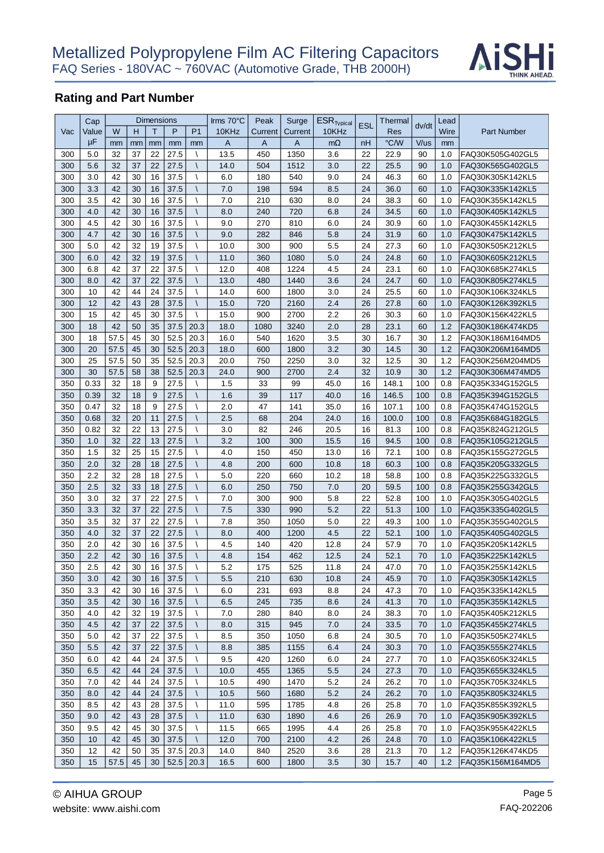

|     | Cap   |      |    | <b>Dimensions</b> |      |                          | Irms 70°C      | Peak            | Surge   | $ESR$ <sub>Typical</sub> |                 | Thermal |       | Lead |                  |
|-----|-------|------|----|-------------------|------|--------------------------|----------------|-----------------|---------|--------------------------|-----------------|---------|-------|------|------------------|
| Vac | Value | W    | H  | T                 | P    | P <sub>1</sub>           | 10KHz          | Current         | Current | 10KHz                    | <b>ESL</b>      | Res     | dv/dt | Wire | Part Number      |
|     | μF    | mm   | mm | mm                | mm   | mm                       | $\overline{A}$ | A               | A       | $m\Omega$                | nH              | °C/W    | V/us  | mm   |                  |
| 300 | 5.0   | 32   | 37 | 22                | 27.5 | Λ                        | 13.5           | 450             | 1350    | 3.6                      | 22              | 22.9    | 90    | 1.0  | FAQ30K505G402GL5 |
| 300 | 5.6   | 32   | 37 | 22                | 27.5 | $\lambda$                | 14.0           | 504             | 1512    | 3.0                      | 22              | 25.5    | 90    | 1.0  | FAQ30K565G402GL5 |
| 300 | 3.0   | 42   | 30 | 16                | 37.5 | Λ                        | 6.0            | 180             | 540     | 9.0                      | 24              | 46.3    | 60    | 1.0  | FAQ30K305K142KL5 |
| 300 |       | 42   | 30 | 16                | 37.5 | $\sqrt{2}$               | 7.0            | 198             | 594     |                          | 24              | 36.0    |       | 1.0  |                  |
|     | 3.3   |      |    |                   |      |                          |                |                 |         | 8.5                      |                 |         | 60    |      | FAQ30K335K142KL5 |
| 300 | 3.5   | 42   | 30 | 16                | 37.5 | Λ                        | 7.0            | 210             | 630     | 8.0                      | 24              | 38.3    | 60    | 1.0  | FAQ30K355K142KL5 |
| 300 | 4.0   | 42   | 30 | 16                | 37.5 |                          | 8.0            | 240             | 720     | 6.8                      | 24              | 34.5    | 60    | 1.0  | FAQ30K405K142KL5 |
| 300 | 4.5   | 42   | 30 | 16                | 37.5 | ١                        | 9.0            | 270             | 810     | 6.0                      | 24              | 30.9    | 60    | 1.0  | FAQ30K455K142KL5 |
| 300 | 4.7   | 42   | 30 | 16                | 37.5 |                          | 9.0            | 282             | 846     | 5.8                      | 24              | 31.9    | 60    | 1.0  | FAQ30K475K142KL5 |
| 300 | 5.0   | 42   | 32 | 19                | 37.5 | ١                        | 10.0           | 300             | 900     | 5.5                      | 24              | 27.3    | 60    | 1.0  | FAQ30K505K212KL5 |
| 300 | 6.0   | 42   | 32 | 19                | 37.5 |                          | 11.0           | 360             | 1080    | 5.0                      | 24              | 24.8    | 60    | 1.0  | FAQ30K605K212KL5 |
| 300 | 6.8   | 42   | 37 | 22                | 37.5 | $\lambda$                | 12.0           | 408             | 1224    | 4.5                      | 24              | 23.1    | 60    | 1.0  | FAQ30K685K274KL5 |
| 300 | 8.0   | 42   | 37 | 22                | 37.5 | $\overline{\phantom{0}}$ | 13.0           | 480             | 1440    | 3.6                      | 24              | 24.7    | 60    | 1.0  | FAQ30K805K274KL5 |
| 300 | 10    | 42   | 44 | 24                | 37.5 | $\lambda$                | 14.0           | 600             | 1800    | 3.0                      | 24              | 25.5    | 60    | 1.0  | FAQ30K106K324KL5 |
| 300 | 12    | 42   | 43 | 28                | 37.5 | $\sqrt{2}$               | 15.0           | 720             | 2160    | 2.4                      | 26              | 27.8    | 60    | 1.0  | FAQ30K126K392KL5 |
| 300 | 15    | 42   | 45 | 30                | 37.5 | $\lambda$                | 15.0           | 900             | 2700    | 2.2                      | 26              | 30.3    | 60    | 1.0  | FAQ30K156K422KL5 |
| 300 | 18    | 42   | 50 | 35                | 37.5 | 20.3                     | 18.0           | 1080            | 3240    | 2.0                      | 28              | 23.1    | 60    | 1.2  | FAQ30K186K474KD5 |
| 300 | 18    | 57.5 | 45 | 30                | 52.5 | 20.3                     | 16.0           | 540             | 1620    | 3.5                      | 30              | 16.7    | 30    | 1.2  | FAQ30K186M164MD5 |
| 300 | 20    | 57.5 | 45 | 30                | 52.5 | 20.3                     | 18.0           | 600             | 1800    | 3.2                      | 30              | 14.5    | 30    | 1.2  | FAQ30K206M164MD5 |
| 300 | 25    | 57.5 | 50 | 35                | 52.5 | 20.3                     | 20.0           | 750             | 2250    | 3.0                      | 32              | 12.5    | 30    | 1.2  | FAQ30K256M204MD5 |
| 300 | 30    | 57.5 | 58 | 38                | 52.5 | 20.3                     | 24.0           | 900             | 2700    | 2.4                      | 32              | 10.9    | 30    | 1.2  | FAQ30K306M474MD5 |
| 350 | 0.33  | 32   | 18 | 9                 | 27.5 | Λ                        | 1.5            | 33              | 99      | 45.0                     | 16              | 148.1   | 100   | 0.8  | FAQ35K334G152GL5 |
| 350 | 0.39  | 32   | 18 | 9                 | 27.5 | $\sqrt{}$                | 1.6            | 39              | 117     | 40.0                     | 16              | 146.5   | 100   | 0.8  | FAQ35K394G152GL5 |
|     |       |      |    | 9                 |      |                          |                |                 |         |                          |                 |         |       |      |                  |
| 350 | 0.47  | 32   | 18 |                   | 27.5 | Λ                        | 2.0            | 47              | 141     | 35.0                     | 16              | 107.1   | 100   | 0.8  | FAQ35K474G152GL5 |
| 350 | 0.68  | 32   | 20 | 11                | 27.5 |                          | 2.5            | 68              | 204     | 24.0                     | 16              | 100.0   | 100   | 0.8  | FAQ35K684G182GL5 |
| 350 | 0.82  | 32   | 22 | 13                | 27.5 |                          | 3.0            | 82              | 246     | 20.5                     | 16              | 81.3    | 100   | 0.8  | FAQ35K824G212GL5 |
| 350 | 1.0   | 32   | 22 | 13                | 27.5 | $\lambda$                | 3.2            | 100             | 300     | 15.5                     | 16              | 94.5    | 100   | 0.8  | FAQ35K105G212GL5 |
| 350 | 1.5   | 32   | 25 | 15                | 27.5 | $\lambda$                | 4.0            | 150             | 450     | 13.0                     | 16              | 72.1    | 100   | 0.8  | FAQ35K155G272GL5 |
| 350 | 2.0   | 32   | 28 | 18                | 27.5 |                          | 4.8            | 200             | 600     | 10.8                     | 18              | 60.3    | 100   | 0.8  | FAQ35K205G332GL5 |
| 350 | 2.2   | 32   | 28 | 18                | 27.5 | $\lambda$                | 5.0            | 220             | 660     | 10.2                     | 18              | 58.8    | 100   | 0.8  | FAQ35K225G332GL5 |
| 350 | 2.5   | 32   | 33 | 18                | 27.5 | $\sqrt{2}$               | 6.0            | 250             | 750     | 7.0                      | 20              | 59.5    | 100   | 0.8  | FAQ35K255G342GL5 |
| 350 | 3.0   | 32   | 37 | 22                | 27.5 | $\backslash$             | 7.0            | 300             | 900     | 5.8                      | 22              | 52.8    | 100   | 1.0  | FAQ35K305G402GL5 |
| 350 | 3.3   | 32   | 37 | 22                | 27.5 |                          | 7.5            | 330             | 990     | 5.2                      | 22              | 51.3    | 100   | 1.0  | FAQ35K335G402GL5 |
| 350 | 3.5   | 32   | 37 | 22                | 27.5 |                          | 7.8            | 350             | 1050    | 5.0                      | 22              | 49.3    | 100   | 1.0  | FAQ35K355G402GL5 |
| 350 | 4.0   | 32   | 37 | 22                | 27.5 |                          | 8.0            | 400             | 1200    | 4.5                      | 22              | 52.1    | 100   | 1.0  | FAQ35K405G402GL5 |
| 350 | 2.0   | 42   | 30 | 16                | 37.5 | ١                        | 4.5            | 140             | 420     | 12.8                     | 24              | 57.9    | 70    | 1.0  | FAQ35K205K142KL5 |
| 350 | 2.2   | 42   | 30 | 16                | 37.5 | $\backslash$             | 4.8            | 154             | 462     | 12.5                     | 24              | 52.1    | 70    | 1.0  | FAQ35K225K142KL5 |
| 350 | 2.5   | 42   | 30 | 16                | 37.5 | $\backslash$             | 5.2            | $\frac{175}{2}$ | 525     | 11.8                     | $\overline{24}$ | 47.0    | 70    | 1.0  | FAQ35K255K142KL5 |
| 350 | 3.0   | 42   | 30 | 16                | 37.5 | $\sqrt{2}$               | 5.5            | 210             | 630     | 10.8                     | 24              | 45.9    | 70    | 1.0  | FAQ35K305K142KL5 |
| 350 | 3.3   | 42   | 30 | 16                | 37.5 |                          | 6.0            | 231             | 693     | 8.8                      | 24              | 47.3    | 70    | 1.0  | FAQ35K335K142KL5 |
| 350 | 3.5   | 42   | 30 | 16                | 37.5 | $\sqrt{2}$               | 6.5            | 245             | 735     | 8.6                      | 24              | 41.3    | 70    | 1.0  | FAQ35K355K142KL5 |
| 350 |       | 42   | 32 | 19                | 37.5 |                          |                | 280             |         |                          | 24              | 38.3    | 70    | 1.0  |                  |
|     | 4.0   |      |    |                   |      |                          | 7.0            |                 | 840     | 8.0                      |                 |         |       |      | FAQ35K405K212KL5 |
| 350 | 4.5   | 42   | 37 | 22                | 37.5 | $\sqrt{2}$               | 8.0            | 315             | 945     | 7.0                      | 24              | 33.5    | 70    | 1.0  | FAQ35K455K274KL5 |
| 350 | 5.0   | 42   | 37 | 22                | 37.5 |                          | 8.5            | 350             | 1050    | 6.8                      | 24              | 30.5    | 70    | 1.0  | FAQ35K505K274KL5 |
| 350 | 5.5   | 42   | 37 | 22                | 37.5 | $\overline{\phantom{0}}$ | 8.8            | 385             | 1155    | 6.4                      | 24              | 30.3    | 70    | 1.0  | FAQ35K555K274KL5 |
| 350 | 6.0   | 42   | 44 | 24                | 37.5 |                          | 9.5            | 420             | 1260    | 6.0                      | 24              | 27.7    | 70    | 1.0  | FAQ35K605K324KL5 |
| 350 | 6.5   | 42   | 44 | 24                | 37.5 | $\sqrt{2}$               | 10.0           | 455             | 1365    | 5.5                      | 24              | 27.3    | 70    | 1.0  | FAQ35K655K324KL5 |
| 350 | 7.0   | 42   | 44 | 24                | 37.5 | $\lambda$                | 10.5           | 490             | 1470    | 5.2                      | 24              | 26.2    | 70    | 1.0  | FAQ35K705K324KL5 |
| 350 | 8.0   | 42   | 44 | 24                | 37.5 | $\sqrt{2}$               | 10.5           | 560             | 1680    | 5.2                      | 24              | 26.2    | 70    | 1.0  | FAQ35K805K324KL5 |
| 350 | 8.5   | 42   | 43 | 28                | 37.5 | $\lambda$                | 11.0           | 595             | 1785    | 4.8                      | 26              | 25.8    | 70    | 1.0  | FAQ35K855K392KL5 |
| 350 | 9.0   | 42   | 43 | 28                | 37.5 | $\sqrt{2}$               | 11.0           | 630             | 1890    | 4.6                      | 26              | 26.9    | 70    | 1.0  | FAQ35K905K392KL5 |
| 350 | 9.5   | 42   | 45 | 30                | 37.5 |                          | 11.5           | 665             | 1995    | 4.4                      | 26              | 25.8    | 70    | 1.0  | FAQ35K955K422KL5 |
| 350 | 10    | 42   | 45 | 30                | 37.5 |                          | 12.0           | 700             | 2100    | 4.2                      | 26              | 24.8    | 70    | 1.0  | FAQ35K106K422KL5 |
| 350 | 12    | 42   | 50 | 35                | 37.5 | 20.3                     | 14.0           | 840             | 2520    | 3.6                      | 28              | 21.3    | 70    | 1.2  | FAQ35K126K474KD5 |
| 350 | 15    | 57.5 | 45 | 30                | 52.5 | 20.3                     | 16.5           | 600             | 1800    | 3.5                      | 30              | 15.7    | 40    | 1.2  | FAQ35K156M164MD5 |
|     |       |      |    |                   |      |                          |                |                 |         |                          |                 |         |       |      |                  |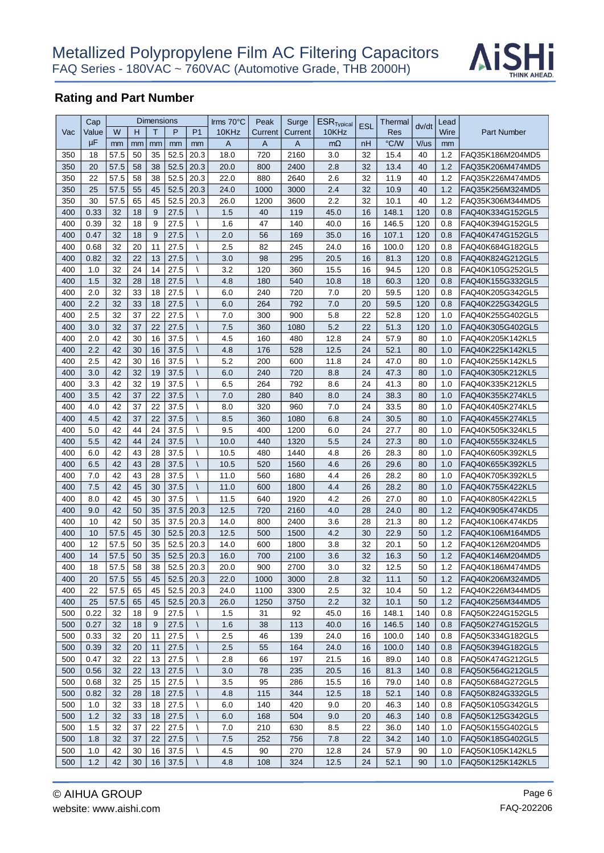

|     | Cap   |      |    | <b>Dimensions</b> |      |                          | Irms 70°C | Peak           | Surge        | $ESR$ <sub>Tvpical</sub> |            | Thermal |       | Lead  |                  |
|-----|-------|------|----|-------------------|------|--------------------------|-----------|----------------|--------------|--------------------------|------------|---------|-------|-------|------------------|
| Vac | Value | W    | H  | T                 | P    | P <sub>1</sub>           | 10KHz     | Current        | Current      | 10KHz                    | <b>ESL</b> | Res     | dv/dt | Wire  | Part Number      |
|     | μF    | mm   | mm | mm                | mm   | mm                       | A         | $\overline{A}$ | $\mathsf{A}$ | $m\Omega$                | nH         | °C/W    | V/us  | mm    |                  |
| 350 | 18    | 57.5 | 50 | 35                | 52.5 | 20.3                     | 18.0      | 720            | 2160         | 3.0                      | 32         | 15.4    | 40    | 1.2   | FAQ35K186M204MD5 |
| 350 | 20    | 57.5 | 58 | 38                | 52.5 | 20.3                     | 20.0      | 800            | 2400         | 2.8                      | 32         | 13.4    | 40    | 1.2   | FAQ35K206M474MD5 |
| 350 | 22    | 57.5 | 58 | 38                | 52.5 | 20.3                     | 22.0      | 880            | 2640         | 2.6                      | 32         | 11.9    | 40    | 1.2   | FAQ35K226M474MD5 |
| 350 | 25    | 57.5 | 55 | 45                | 52.5 | 20.3                     | 24.0      | 1000           | 3000         | 2.4                      | 32         | 10.9    | 40    | 1.2   | FAQ35K256M324MD5 |
| 350 | 30    | 57.5 | 65 | 45                | 52.5 | 20.3                     | 26.0      | 1200           | 3600         | 2.2                      | 32         | 10.1    | 40    | 1.2   | FAQ35K306M344MD5 |
| 400 | 0.33  | 32   | 18 | 9                 | 27.5 | $\overline{\mathcal{L}}$ | 1.5       | 40             | 119          | 45.0                     | 16         | 148.1   | 120   | 0.8   | FAQ40K334G152GL5 |
| 400 | 0.39  | 32   | 18 | 9                 | 27.5 | $\sqrt{2}$               | 1.6       | 47             | 140          | 40.0                     | 16         | 146.5   | 120   | 0.8   | FAQ40K394G152GL5 |
| 400 | 0.47  | 32   | 18 | 9                 | 27.5 | $\lambda$                | 2.0       | 56             | 169          | 35.0                     | 16         | 107.1   | 120   | 0.8   | FAQ40K474G152GL5 |
| 400 | 0.68  | 32   | 20 | 11                | 27.5 | Λ                        | 2.5       | 82             | 245          | 24.0                     | 16         | 100.0   | 120   | 0.8   | FAQ40K684G182GL5 |
| 400 | 0.82  | 32   | 22 | 13                | 27.5 | $\sqrt{2}$               | 3.0       | 98             | 295          | 20.5                     | 16         | 81.3    | 120   | 0.8   | FAQ40K824G212GL5 |
| 400 | 1.0   | 32   | 24 | 14                | 27.5 | Λ                        | 3.2       | 120            | 360          | 15.5                     | 16         | 94.5    | 120   | 0.8   | FAQ40K105G252GL5 |
| 400 | 1.5   | 32   | 28 | 18                | 27.5 |                          | 4.8       | 180            | 540          | 10.8                     | 18         | 60.3    | 120   | 0.8   | FAQ40K155G332GL5 |
| 400 | 2.0   | 32   | 33 | 18                | 27.5 | Λ                        | 6.0       | 240            | 720          | 7.0                      | 20         | 59.5    | 120   | 0.8   | FAQ40K205G342GL5 |
| 400 | 2.2   | 32   | 33 | 18                | 27.5 |                          | 6.0       | 264            | 792          | 7.0                      | 20         | 59.5    | 120   | 0.8   | FAQ40K225G342GL5 |
| 400 | 2.5   | 32   | 37 | 22                | 27.5 | Λ                        | 7.0       | 300            | 900          | 5.8                      | 22         | 52.8    | 120   | 1.0   | FAQ40K255G402GL5 |
| 400 | 3.0   | 32   | 37 | 22                | 27.5 |                          | 7.5       | 360            | 1080         | 5.2                      | 22         | 51.3    | 120   | 1.0   | FAQ40K305G402GL5 |
| 400 | 2.0   | 42   | 30 | 16                | 37.5 |                          | 4.5       | 160            | 480          | 12.8                     | 24         | 57.9    | 80    | 1.0   | FAQ40K205K142KL5 |
| 400 | 2.2   | 42   | 30 | 16                | 37.5 |                          | 4.8       | 176            | 528          | 12.5                     | 24         | 52.1    | 80    | 1.0   | FAQ40K225K142KL5 |
| 400 | 2.5   | 42   | 30 | 16                | 37.5 | Λ                        | 5.2       | 200            | 600          | 11.8                     | 24         | 47.0    | 80    | 1.0   | FAQ40K255K142KL5 |
| 400 | 3.0   | 42   | 32 | 19                | 37.5 |                          | 6.0       | 240            | 720          | 8.8                      | 24         | 47.3    | 80    | 1.0   | FAQ40K305K212KL5 |
| 400 | 3.3   | 42   | 32 | 19                | 37.5 |                          | 6.5       | 264            | 792          | 8.6                      | 24         | 41.3    | 80    | 1.0   | FAQ40K335K212KL5 |
| 400 | 3.5   | 42   | 37 | 22                | 37.5 | $\overline{\phantom{0}}$ | 7.0       | 280            | 840          | 8.0                      | 24         | 38.3    | 80    | 1.0   | FAQ40K355K274KL5 |
| 400 | 4.0   | 42   | 37 | 22                | 37.5 |                          | 8.0       | 320            | 960          | 7.0                      | 24         | 33.5    | 80    | 1.0   | FAQ40K405K274KL5 |
| 400 | 4.5   | 42   | 37 | 22                | 37.5 | $\lambda$                | 8.5       | 360            | 1080         | 6.8                      | 24         | 30.5    | 80    | 1.0   | FAQ40K455K274KL5 |
| 400 | 5.0   | 42   | 44 | 24                | 37.5 |                          | 9.5       | 400            | 1200         | 6.0                      | 24         | 27.7    | 80    | 1.0   | FAQ40K505K324KL5 |
| 400 | 5.5   | 42   | 44 | 24                | 37.5 | $\sqrt{2}$               | 10.0      | 440            | 1320         | 5.5                      | 24         | 27.3    | 80    | 1.0   | FAQ40K555K324KL5 |
| 400 | 6.0   | 42   | 43 | 28                | 37.5 |                          | 10.5      | 480            | 1440         | 4.8                      | 26         | 28.3    | 80    | 1.0   | FAQ40K605K392KL5 |
| 400 | 6.5   | 42   | 43 | 28                | 37.5 | $\sqrt{2}$               | 10.5      | 520            | 1560         | 4.6                      | 26         | 29.6    | 80    | 1.0   | FAQ40K655K392KL5 |
| 400 | 7.0   | 42   | 43 | 28                | 37.5 |                          | 11.0      | 560            | 1680         | 4.4                      | 26         | 28.2    | 80    | 1.0   | FAQ40K705K392KL5 |
| 400 | 7.5   | 42   | 45 | 30                | 37.5 | $\sqrt{2}$               | 11.0      | 600            | 1800         | 4.4                      | 26         | 28.2    | 80    | 1.0   | FAQ40K755K422KL5 |
| 400 | 8.0   | 42   | 45 | 30                | 37.5 |                          | 11.5      | 640            | 1920         | 4.2                      | 26         | 27.0    | 80    | 1.0   | FAQ40K805K422KL5 |
| 400 | 9.0   | 42   | 50 | 35                | 37.5 | 20.3                     | 12.5      | 720            | 2160         | 4.0                      | 28         | 24.0    | 80    | 1.2   | FAQ40K905K474KD5 |
| 400 | 10    | 42   | 50 | 35                | 37.5 | 20.3                     | 14.0      | 800            | 2400         | 3.6                      | 28         | 21.3    | 80    | 1.2   | FAQ40K106K474KD5 |
| 400 | 10    | 57.5 | 45 | 30                | 52.5 | 20.3                     | 12.5      | 500            | 1500         | 4.2                      | 30         | 22.9    | 50    | 1.2   | FAQ40K106M164MD5 |
| 400 | 12    | 57.5 | 50 | 35                | 52.5 | 20.3                     | 14.0      | 600            | 1800         | 3.8                      | 32         | 20.1    | 50    | 1.2   | FAQ40K126M204MD5 |
| 400 | 14    | 57.5 | 50 | 35                | 52.5 | 20.3                     | 16.0      | 700            | 2100         | 3.6                      | 32         | 16.3    | 50    | 1.2   | FAQ40K146M204MD5 |
| 400 | 18    | 57.5 | 58 | 38                | 52.5 | 20.3                     | 20.0      | 900            | 2700         | 3.0                      | 32         | 12.5    | 50    | $1.2$ | FAQ40K186M474MD5 |
| 400 | 20    | 57.5 | 55 | 45                | 52.5 | 20.3                     | 22.0      | 1000           | 3000         | 2.8                      | 32         | 11.1    | 50    | 1.2   | FAQ40K206M324MD5 |
| 400 | 22    | 57.5 | 65 | 45                | 52.5 | 20.3                     | 24.0      | 1100           | 3300         | 2.5                      | 32         | 10.4    | 50    | 1.2   | FAQ40K226M344MD5 |
| 400 | 25    | 57.5 | 65 | 45                | 52.5 | 20.3                     | 26.0      | 1250           | 3750         | 2.2                      | 32         | 10.1    | 50    | 1.2   | FAQ40K256M344MD5 |
| 500 | 0.22  | 32   | 18 | 9                 | 27.5 |                          | 1.5       | 31             | 92           | 45.0                     | 16         | 148.1   | 140   | 0.8   | FAQ50K224G152GL5 |
| 500 | 0.27  | 32   | 18 | 9                 | 27.5 |                          | 1.6       | 38             | 113          | 40.0                     | 16         | 146.5   | 140   | 0.8   | FAQ50K274G152GL5 |
| 500 | 0.33  | 32   | 20 | 11                | 27.5 |                          | 2.5       | 46             | 139          | 24.0                     | 16         | 100.0   | 140   | 0.8   | FAQ50K334G182GL5 |
| 500 | 0.39  | 32   | 20 | 11                | 27.5 |                          | 2.5       | 55             | 164          | 24.0                     | 16         | 100.0   | 140   | 0.8   | FAQ50K394G182GL5 |
| 500 | 0.47  | 32   | 22 | 13                | 27.5 | $\lambda$                | 2.8       | 66             | 197          | 21.5                     | 16         | 89.0    | 140   | 0.8   | FAQ50K474G212GL5 |
| 500 | 0.56  | 32   | 22 | 13                | 27.5 |                          | 3.0       | 78             | 235          | 20.5                     | 16         | 81.3    | 140   | 0.8   | FAQ50K564G212GL5 |
| 500 | 0.68  | 32   | 25 | 15                | 27.5 |                          | 3.5       | 95             | 286          | 15.5                     | 16         | 79.0    | 140   | 0.8   | FAQ50K684G272GL5 |
| 500 | 0.82  | 32   | 28 | 18                | 27.5 | $\sqrt{2}$               | 4.8       | 115            | 344          | 12.5                     | 18         | 52.1    | 140   | 0.8   | FAQ50K824G332GL5 |
| 500 | 1.0   | 32   | 33 | 18                | 27.5 |                          | 6.0       | 140            | 420          | 9.0                      | 20         | 46.3    | 140   | 0.8   | FAQ50K105G342GL5 |
| 500 | $1.2$ | 32   | 33 | 18                | 27.5 | $\overline{\phantom{0}}$ | 6.0       | 168            | 504          | 9.0                      | 20         | 46.3    | 140   | 0.8   | FAQ50K125G342GL5 |
| 500 | 1.5   | 32   | 37 | 22                | 27.5 |                          | 7.0       | 210            | 630          | 8.5                      | 22         | 36.0    | 140   | 1.0   | FAQ50K155G402GL5 |
| 500 | 1.8   | 32   | 37 | 22                | 27.5 | $\sqrt{2}$               | 7.5       | 252            | 756          | 7.8                      | 22         | 34.2    | 140   | 1.0   | FAQ50K185G402GL5 |
| 500 | 1.0   | 42   | 30 | 16                | 37.5 |                          | 4.5       | 90             | 270          | 12.8                     | 24         | 57.9    | 90    | 1.0   | FAQ50K105K142KL5 |
| 500 | $1.2$ | 42   | 30 | 16                | 37.5 | $\sqrt{2}$               | 4.8       | 108            | 324          | 12.5                     | 24         | 52.1    | 90    | 1.0   | FAQ50K125K142KL5 |
|     |       |      |    |                   |      |                          |           |                |              |                          |            |         |       |       |                  |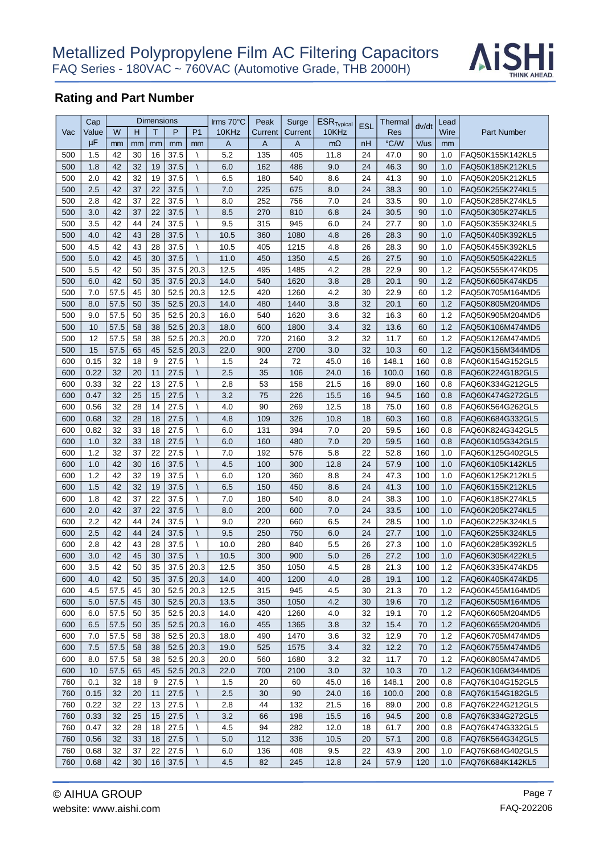

|            | Cap   |      |    | Dimensions |      |                          | Irms $70^{\circ}$ C | Peak    | Surge   | $ESR$ <sub>Tvpical</sub> |            | Thermal |       | Lead    |                                      |
|------------|-------|------|----|------------|------|--------------------------|---------------------|---------|---------|--------------------------|------------|---------|-------|---------|--------------------------------------|
| Vac        | Value | W    | H  | T          | P    | P <sub>1</sub>           | 10KHz               | Current | Current | 10KHz                    | <b>ESL</b> | Res     | dv/dt | Wire    | Part Number                          |
|            | μF    | mm   | mm | mm         | mm   | mm                       | A                   | A       | A       | $m\Omega$                | nH         | °C/W    | V/us  | mm      |                                      |
| 500        | 1.5   | 42   | 30 | 16         | 37.5 |                          | 5.2                 | 135     | 405     | 11.8                     | 24         | 47.0    | 90    | 1.0     | FAQ50K155K142KL5                     |
| 500        | 1.8   | 42   | 32 | 19         | 37.5 | $\sqrt{2}$               | 6.0                 | 162     | 486     | 9.0                      | 24         | 46.3    | 90    | 1.0     | FAQ50K185K212KL5                     |
| 500        | 2.0   | 42   | 32 | 19         | 37.5 | $\lambda$                | 6.5                 | 180     | 540     | 8.6                      | 24         | 41.3    | 90    | 1.0     | FAQ50K205K212KL5                     |
| 500        | 2.5   | 42   | 37 | 22         | 37.5 | $\sqrt{2}$               | 7.0                 | 225     | 675     | 8.0                      | 24         | 38.3    | 90    | 1.0     | FAQ50K255K274KL5                     |
| 500        | 2.8   | 42   | 37 | 22         | 37.5 |                          | 8.0                 | 252     | 756     |                          | 24         | 33.5    | 90    | 1.0     |                                      |
|            | 3.0   | 42   | 37 | 22         | 37.5 |                          |                     | 270     |         | 7.0                      | 24         | 30.5    | 90    |         | FAQ50K285K274KL5                     |
| 500<br>500 | 3.5   | 42   | 44 | 24         | 37.5 | Λ                        | 8.5<br>9.5          | 315     | 810     | 6.8<br>6.0               | 24         | 27.7    | 90    | 1.0     | FAQ50K305K274KL5                     |
|            | 4.0   | 42   | 43 | 28         | 37.5 |                          | 10.5                |         | 945     |                          | 26         | 28.3    | 90    | 1.0     | FAQ50K355K324KL5<br>FAQ50K405K392KL5 |
| 500        |       | 42   | 43 | 28         | 37.5 | $\sqrt{2}$               |                     | 360     | 1080    | 4.8                      | 26         | 28.3    |       | 1.0     |                                      |
| 500        | 4.5   |      |    |            |      | $\lambda$                | 10.5                | 405     | 1215    | 4.8                      |            |         | 90    | 1.0     | FAQ50K455K392KL5                     |
| 500        | 5.0   | 42   | 45 | 30         | 37.5 | $\sqrt{2}$               | 11.0                | 450     | 1350    | 4.5                      | 26         | 27.5    | 90    | 1.0     | FAQ50K505K422KL5                     |
| 500        | 5.5   | 42   | 50 | 35         | 37.5 | 20.3                     | 12.5                | 495     | 1485    | 4.2                      | 28         | 22.9    | 90    | 1.2     | FAQ50K555K474KD5                     |
| 500        | 6.0   | 42   | 50 | 35         | 37.5 | 20.3                     | 14.0                | 540     | 1620    | 3.8                      | 28         | 20.1    | 90    | 1.2     | FAQ50K605K474KD5                     |
| 500        | 7.0   | 57.5 | 45 | 30         | 52.5 | 20.3                     | 12.5                | 420     | 1260    | 4.2                      | 30         | 22.9    | 60    | 1.2     | FAQ50K705M164MD5                     |
| 500        | 8.0   | 57.5 | 50 | 35         | 52.5 | 20.3                     | 14.0                | 480     | 1440    | 3.8                      | 32         | 20.1    | 60    | 1.2     | FAQ50K805M204MD5                     |
| 500        | 9.0   | 57.5 | 50 | 35         | 52.5 | 20.3                     | 16.0                | 540     | 1620    | 3.6                      | 32         | 16.3    | 60    | 1.2     | FAQ50K905M204MD5                     |
| 500        | 10    | 57.5 | 58 | 38         | 52.5 | 20.3                     | 18.0                | 600     | 1800    | 3.4                      | 32         | 13.6    | 60    | 1.2     | FAQ50K106M474MD5                     |
| 500        | 12    | 57.5 | 58 | 38         | 52.5 | 20.3                     | 20.0                | 720     | 2160    | 3.2                      | 32         | 11.7    | 60    | 1.2     | FAQ50K126M474MD5                     |
| 500        | 15    | 57.5 | 65 | 45         | 52.5 | 20.3                     | 22.0                | 900     | 2700    | 3.0                      | 32         | 10.3    | 60    | 1.2     | FAQ50K156M344MD5                     |
| 600        | 0.15  | 32   | 18 | 9          | 27.5 | Λ                        | 1.5                 | 24      | 72      | 45.0                     | 16         | 148.1   | 160   | 0.8     | FAQ60K154G152GL5                     |
| 600        | 0.22  | 32   | 20 | 11         | 27.5 | $\sqrt{}$                | 2.5                 | 35      | 106     | 24.0                     | 16         | 100.0   | 160   | 0.8     | FAQ60K224G182GL5                     |
| 600        | 0.33  | 32   | 22 | 13         | 27.5 | $\backslash$             | 2.8                 | 53      | 158     | 21.5                     | 16         | 89.0    | 160   | 0.8     | FAQ60K334G212GL5                     |
| 600        | 0.47  | 32   | 25 | 15         | 27.5 |                          | 3.2                 | 75      | 226     | 15.5                     | 16         | 94.5    | 160   | 0.8     | FAQ60K474G272GL5                     |
| 600        | 0.56  | 32   | 28 | 14         | 27.5 |                          | 4.0                 | 90      | 269     | 12.5                     | 18         | 75.0    | 160   | 0.8     | FAQ60K564G262GL5                     |
| 600        | 0.68  | 32   | 28 | 18         | 27.5 |                          | 4.8                 | 109     | 326     | 10.8                     | 18         | 60.3    | 160   | 0.8     | FAQ60K684G332GL5                     |
| 600        | 0.82  | 32   | 33 | 18         | 27.5 | $\lambda$                | 6.0                 | 131     | 394     | 7.0                      | 20         | 59.5    | 160   | 0.8     | FAQ60K824G342GL5                     |
| 600        | 1.0   | 32   | 33 | 18         | 27.5 | $\sqrt{2}$               | 6.0                 | 160     | 480     | 7.0                      | 20         | 59.5    | 160   | 0.8     | FAQ60K105G342GL5                     |
| 600        | 1.2   | 32   | 37 | 22         | 27.5 | Λ                        | 7.0                 | 192     | 576     | 5.8                      | 22         | 52.8    | 160   | 1.0     | FAQ60K125G402GL5                     |
| 600        | 1.0   | 42   | 30 | 16         | 37.5 | $\overline{\phantom{0}}$ | 4.5                 | 100     | 300     | 12.8                     | 24         | 57.9    | 100   | 1.0     | FAQ60K105K142KL5                     |
| 600        | 1.2   | 42   | 32 | 19         | 37.5 | $\lambda$                | 6.0                 | 120     | 360     | 8.8                      | 24         | 47.3    | 100   | 1.0     | FAQ60K125K212KL5                     |
| 600        | 1.5   | 42   | 32 | 19         | 37.5 | $\sqrt{2}$               | 6.5                 | 150     | 450     | 8.6                      | 24         | 41.3    | 100   | 1.0     | FAQ60K155K212KL5                     |
| 600        | 1.8   | 42   | 37 | 22         | 37.5 |                          | 7.0                 | 180     | 540     | 8.0                      | 24         | 38.3    | 100   | 1.0     | FAQ60K185K274KL5                     |
| 600        | 2.0   | 42   | 37 | 22         | 37.5 |                          | 8.0                 | 200     | 600     | 7.0                      | 24         | 33.5    | 100   | 1.0     | FAQ60K205K274KL5                     |
| 600        | 2.2   | 42   | 44 | 24         | 37.5 | Λ                        | 9.0                 | 220     | 660     | 6.5                      | 24         | 28.5    | 100   | 1.0     | FAQ60K225K324KL5                     |
| 600        | 2.5   | 42   | 44 | 24         | 37.5 | $\sqrt{2}$               | 9.5                 | 250     | 750     | 6.0                      | 24         | 27.7    | 100   | 1.0     | FAQ60K255K324KL5                     |
| 600        | 2.8   | 42   | 43 | 28         | 37.5 |                          | 10.0                | 280     | 840     | 5.5                      | 26         | 27.3    | 100   | 1.0     | FAQ60K285K392KL5                     |
| 600        | 3.0   | 42   | 45 | 30         | 37.5 | $\sqrt{2}$               | 10.5                | 300     | 900     | 5.0                      | 26         | 27.2    | 100   | 1.0     | FAQ60K305K422KL5                     |
| 600        | 3.5   | 42   | 50 | 35         | 37.5 | 20.3                     | 12.5                | 350     | 1050    | 4.5                      | 28         | 21.3    | 100   | $1.2\,$ | FAQ60K335K474KD5                     |
| 600        | 4.0   | 42   | 50 | 35         | 37.5 | 20.3                     | 14.0                | 400     | 1200    | 4.0                      | 28         | 19.1    | 100   | 1.2     | FAQ60K405K474KD5                     |
| 600        | 4.5   | 57.5 | 45 | 30         | 52.5 | 20.3                     | 12.5                | 315     | 945     | 4.5                      | 30         | 21.3    | 70    | 1.2     | FAQ60K455M164MD5                     |
| 600        | 5.0   | 57.5 | 45 | 30         | 52.5 | 20.3                     | 13.5                | 350     | 1050    | 4.2                      | 30         | 19.6    | 70    | 1.2     | FAQ60K505M164MD5                     |
| 600        | 6.0   | 57.5 | 50 | 35         | 52.5 | 20.3                     | 14.0                | 420     | 1260    | 4.0                      | 32         | 19.1    | 70    | 1.2     | FAQ60K605M204MD5                     |
| 600        | 6.5   | 57.5 | 50 | 35         | 52.5 | 20.3                     | 16.0                | 455     | 1365    | 3.8                      | 32         | 15.4    | 70    | 1.2     | FAQ60K655M204MD5                     |
| 600        | 7.0   | 57.5 | 58 | 38         | 52.5 | 20.3                     | 18.0                | 490     | 1470    | 3.6                      | 32         | 12.9    | 70    | 1.2     | FAQ60K705M474MD5                     |
| 600        | 7.5   | 57.5 | 58 | 38         | 52.5 | 20.3                     | 19.0                | 525     | 1575    | 3.4                      | 32         | 12.2    | 70    | 1.2     | FAQ60K755M474MD5                     |
| 600        | 8.0   | 57.5 | 58 | 38         | 52.5 | 20.3                     | 20.0                | 560     | 1680    | 3.2                      | 32         | 11.7    | 70    | 1.2     | FAQ60K805M474MD5                     |
| 600        | 10    | 57.5 | 65 | 45         | 52.5 | 20.3                     | 22.0                | 700     | 2100    | 3.0                      | 32         | 10.3    | 70    | 1.2     | FAQ60K106M344MD5                     |
| 760        | 0.1   | 32   | 18 | 9          | 27.5 | $\sqrt{2}$               | 1.5                 | 20      | 60      | 45.0                     | 16         | 148.1   | 200   | 0.8     | FAQ76K104G152GL5                     |
| 760        | 0.15  | 32   | 20 | 11         | 27.5 | $\overline{\phantom{a}}$ | 2.5                 | 30      | 90      | 24.0                     | 16         | 100.0   | 200   | 0.8     | FAQ76K154G182GL5                     |
| 760        | 0.22  | 32   | 22 | 13         | 27.5 | $\lambda$                | 2.8                 | 44      | 132     | 21.5                     | 16         | 89.0    | 200   | 0.8     | FAQ76K224G212GL5                     |
| 760        | 0.33  | 32   | 25 | 15         | 27.5 |                          | 3.2                 | 66      | 198     | 15.5                     | 16         | 94.5    | 200   | 0.8     | FAQ76K334G272GL5                     |
| 760        | 0.47  | 32   | 28 | 18         | 27.5 | Λ                        | 4.5                 | 94      | 282     | 12.0                     | 18         | 61.7    | 200   | 0.8     | FAQ76K474G332GL5                     |
| 760        | 0.56  | 32   | 33 | 18         | 27.5 | $\sqrt{2}$               | 5.0                 | 112     | 336     | 10.5                     | 20         | 57.1    | 200   | 0.8     | FAQ76K564G342GL5                     |
| 760        | 0.68  | 32   | 37 | 22         | 27.5 | $\lambda$                | 6.0                 | 136     | 408     | 9.5                      | 22         | 43.9    | 200   | 1.0     | FAQ76K684G402GL5                     |
| 760        | 0.68  | 42   | 30 | 16         | 37.5 | $\sqrt{2}$               | 4.5                 | 82      | 245     | 12.8                     | 24         | 57.9    | 120   | 1.0     | FAQ76K684K142KL5                     |
|            |       |      |    |            |      |                          |                     |         |         |                          |            |         |       |         |                                      |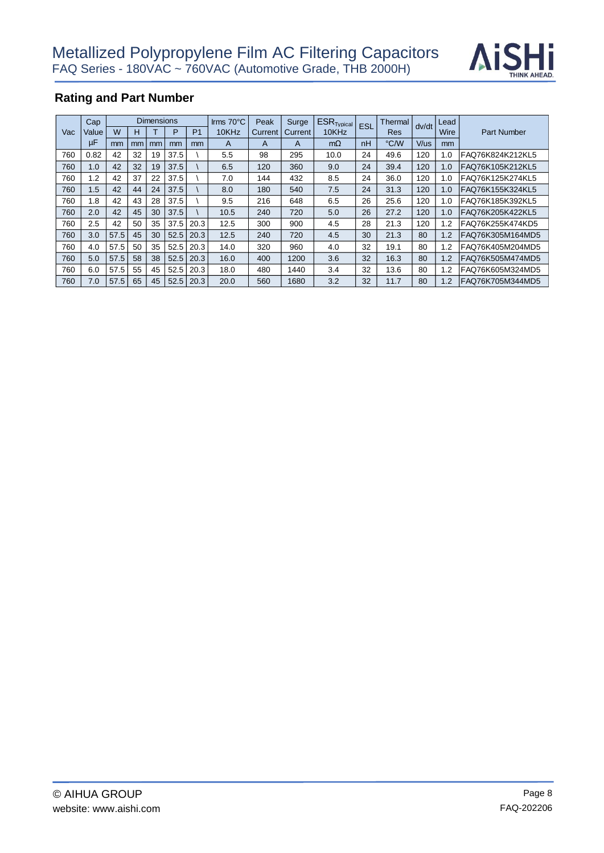

|     | Cap   |      |    | <b>Dimensions</b> |      |                | Irms 70°C | Peak    | Surge   | <b>ESR<sub>Tvpical</sub></b> | <b>ESL</b> | <b>Thermal</b> | dv/dt | Lead           |                    |
|-----|-------|------|----|-------------------|------|----------------|-----------|---------|---------|------------------------------|------------|----------------|-------|----------------|--------------------|
| Vac | Value | W    | н  |                   | P    | P <sub>1</sub> | 10KHz     | Current | Current | 10KHz                        |            | <b>Res</b>     |       | Wire           | <b>Part Number</b> |
|     | μF    | mm   | mm | mm                | mm   | mm             | A         | A       | A       | $m\Omega$                    | nH         | °C/W           | V/us  | m <sub>m</sub> |                    |
| 760 | 0.82  | 42   | 32 | 19                | 37.5 |                | 5.5       | 98      | 295     | 10.0                         | 24         | 49.6           | 120   | 1.0            | FAQ76K824K212KL5   |
| 760 | 1.0   | 42   | 32 | 19                | 37.5 |                | 6.5       | 120     | 360     | 9.0                          | 24         | 39.4           | 120   | 1.0            | FAQ76K105K212KL5   |
| 760 | 1.2   | 42   | 37 | 22                | 37.5 |                | 7.0       | 144     | 432     | 8.5                          | 24         | 36.0           | 120   | 1.0            | FAQ76K125K274KL5   |
| 760 | 1.5   | 42   | 44 | 24                | 37.5 |                | 8.0       | 180     | 540     | 7.5                          | 24         | 31.3           | 120   | 1.0            | FAQ76K155K324KL5   |
| 760 | 1.8   | 42   | 43 | 28                | 37.5 |                | 9.5       | 216     | 648     | 6.5                          | 26         | 25.6           | 120   | 1.0            | FAQ76K185K392KL5   |
| 760 | 2.0   | 42   | 45 | 30                | 37.5 |                | 10.5      | 240     | 720     | 5.0                          | 26         | 27.2           | 120   | 1.0            | FAQ76K205K422KL5   |
| 760 | 2.5   | 42   | 50 | 35                | 37.5 | 20.3           | 12.5      | 300     | 900     | 4.5                          | 28         | 21.3           | 120   | 1.2            | FAQ76K255K474KD5   |
| 760 | 3.0   | 57.5 | 45 | 30                | 52.5 | 20.3           | 12.5      | 240     | 720     | 4.5                          | 30         | 21.3           | 80    | 1.2            | FAQ76K305M164MD5   |
| 760 | 4.0   | 57.5 | 50 | 35                | 52.5 | 20.3           | 14.0      | 320     | 960     | 4.0                          | 32         | 19.1           | 80    | 1.2            | FAQ76K405M204MD5   |
| 760 | 5.0   | 57.5 | 58 | 38                | 52.5 | 20.3           | 16.0      | 400     | 1200    | 3.6                          | 32         | 16.3           | 80    | 1.2            | FAQ76K505M474MD5   |
| 760 | 6.0   | 57.5 | 55 | 45                | 52.5 | 20.3           | 18.0      | 480     | 1440    | 3.4                          | 32         | 13.6           | 80    | 1.2            | FAQ76K605M324MD5   |
| 760 | 7.0   | 57.5 | 65 | 45                | 52.5 | 20.3           | 20.0      | 560     | 1680    | 3.2                          | 32         | 11.7           | 80    | 1.2            | FAQ76K705M344MD5   |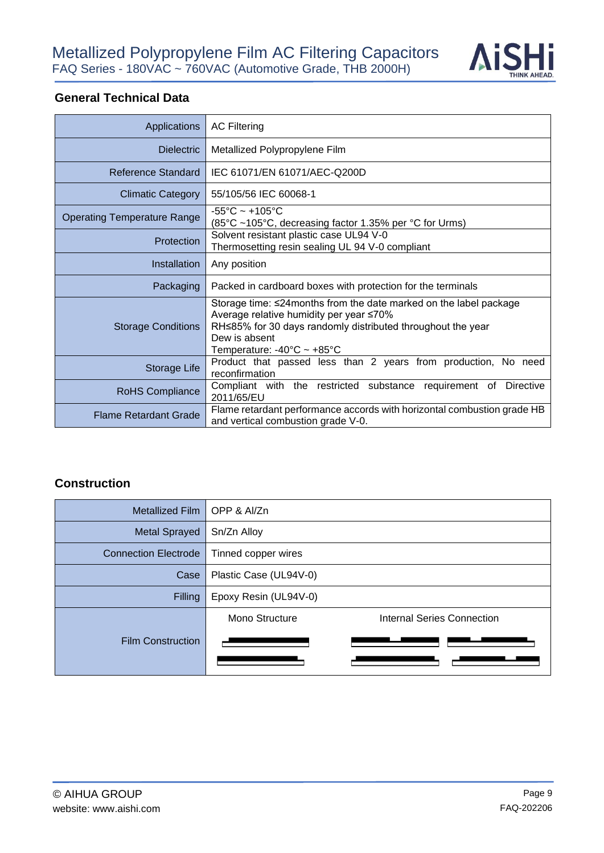

## **General Technical Data**

| Applications                       | <b>AC Filtering</b>                                                                                                                                                                                                                             |  |  |
|------------------------------------|-------------------------------------------------------------------------------------------------------------------------------------------------------------------------------------------------------------------------------------------------|--|--|
| <b>Dielectric</b>                  | Metallized Polypropylene Film                                                                                                                                                                                                                   |  |  |
| Reference Standard                 | IEC 61071/EN 61071/AEC-Q200D                                                                                                                                                                                                                    |  |  |
| <b>Climatic Category</b>           | 55/105/56 IEC 60068-1                                                                                                                                                                                                                           |  |  |
| <b>Operating Temperature Range</b> | $-55^{\circ}$ C ~ $+105^{\circ}$ C<br>(85°C ~105°C, decreasing factor 1.35% per °C for Urms)                                                                                                                                                    |  |  |
| Protection                         | Solvent resistant plastic case UL94 V-0<br>Thermosetting resin sealing UL 94 V-0 compliant                                                                                                                                                      |  |  |
| <b>Installation</b>                | Any position                                                                                                                                                                                                                                    |  |  |
| Packaging                          | Packed in cardboard boxes with protection for the terminals                                                                                                                                                                                     |  |  |
| <b>Storage Conditions</b>          | Storage time: ≤24 months from the date marked on the label package<br>Average relative humidity per year ≤70%<br>RH≤85% for 30 days randomly distributed throughout the year<br>Dew is absent<br>Temperature: $-40^{\circ}$ C ~ $+85^{\circ}$ C |  |  |
| Storage Life                       | Product that passed less than 2 years from production, No need<br>reconfirmation                                                                                                                                                                |  |  |
| RoHS Compliance                    | Compliant with the restricted substance requirement of Directive<br>2011/65/EU                                                                                                                                                                  |  |  |
| <b>Flame Retardant Grade</b>       | Flame retardant performance accords with horizontal combustion grade HB<br>and vertical combustion grade V-0.                                                                                                                                   |  |  |

#### **Construction**

| Metallized Film   OPP & Al/Zn |                        |                                   |
|-------------------------------|------------------------|-----------------------------------|
| <b>Metal Sprayed</b>          | Sn/Zn Alloy            |                                   |
| <b>Connection Electrode</b>   | Tinned copper wires    |                                   |
| Case                          | Plastic Case (UL94V-0) |                                   |
| <b>Filling</b>                | Epoxy Resin (UL94V-0)  |                                   |
|                               | <b>Mono Structure</b>  | <b>Internal Series Connection</b> |
| <b>Film Construction</b>      |                        |                                   |
|                               |                        |                                   |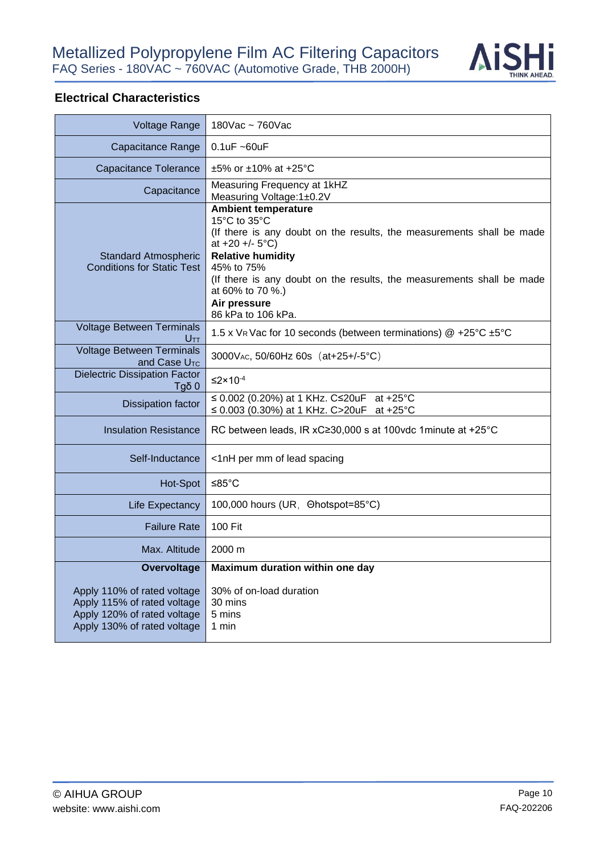

# **Electrical Characteristics**

| <b>Voltage Range</b>                                                                                                     | 180Vac ~ 760Vac                                                                                                                                                                                                                                                                                                         |  |
|--------------------------------------------------------------------------------------------------------------------------|-------------------------------------------------------------------------------------------------------------------------------------------------------------------------------------------------------------------------------------------------------------------------------------------------------------------------|--|
| <b>Capacitance Range</b>                                                                                                 | $0.1$ u $F \sim 60$ u $F$                                                                                                                                                                                                                                                                                               |  |
| Capacitance Tolerance                                                                                                    | $\pm 5\%$ or $\pm 10\%$ at $+25^{\circ}$ C                                                                                                                                                                                                                                                                              |  |
| Capacitance                                                                                                              | Measuring Frequency at 1kHZ<br>Measuring Voltage: 1±0.2V                                                                                                                                                                                                                                                                |  |
| <b>Standard Atmospheric</b><br><b>Conditions for Static Test</b>                                                         | <b>Ambient temperature</b><br>15°C to 35°C<br>(If there is any doubt on the results, the measurements shall be made<br>at $+20 + (-5)$ °C)<br><b>Relative humidity</b><br>45% to 75%<br>(If there is any doubt on the results, the measurements shall be made<br>at 60% to 70 %.)<br>Air pressure<br>86 kPa to 106 kPa. |  |
| <b>Voltage Between Terminals</b><br><b>U</b> TT                                                                          | 1.5 x VR Vac for 10 seconds (between terminations) @ +25°C ±5°C                                                                                                                                                                                                                                                         |  |
| <b>Voltage Between Terminals</b><br>and Case U <sub>TC</sub>                                                             | 3000V <sub>AC</sub> , 50/60Hz 60s (at+25+/-5°C)                                                                                                                                                                                                                                                                         |  |
| <b>Dielectric Dissipation Factor</b><br>$Tg\delta$ 0                                                                     | $\leq$ 2×10 <sup>-4</sup>                                                                                                                                                                                                                                                                                               |  |
| <b>Dissipation factor</b>                                                                                                | ≤ 0.002 (0.20%) at 1 KHz. C≤20uF<br>at $+25^{\circ}$ C<br>≤ 0.003 (0.30%) at 1 KHz. C>20uF at +25°C                                                                                                                                                                                                                     |  |
| <b>Insulation Resistance</b>                                                                                             | RC between leads, IR xC≥30,000 s at 100vdc 1minute at +25°C                                                                                                                                                                                                                                                             |  |
| Self-Inductance                                                                                                          | <1nH per mm of lead spacing                                                                                                                                                                                                                                                                                             |  |
| Hot-Spot                                                                                                                 | ≤85 $°C$                                                                                                                                                                                                                                                                                                                |  |
| Life Expectancy                                                                                                          | 100,000 hours (UR, Ohotspot=85°C)                                                                                                                                                                                                                                                                                       |  |
| <b>Failure Rate</b>                                                                                                      | 100 Fit                                                                                                                                                                                                                                                                                                                 |  |
| Max. Altitude                                                                                                            | $2000 \; \text{m}$                                                                                                                                                                                                                                                                                                      |  |
| Overvoltage                                                                                                              | Maximum duration within one day                                                                                                                                                                                                                                                                                         |  |
| Apply 110% of rated voltage<br>Apply 115% of rated voltage<br>Apply 120% of rated voltage<br>Apply 130% of rated voltage | 30% of on-load duration<br>30 mins<br>5 mins<br>1 min                                                                                                                                                                                                                                                                   |  |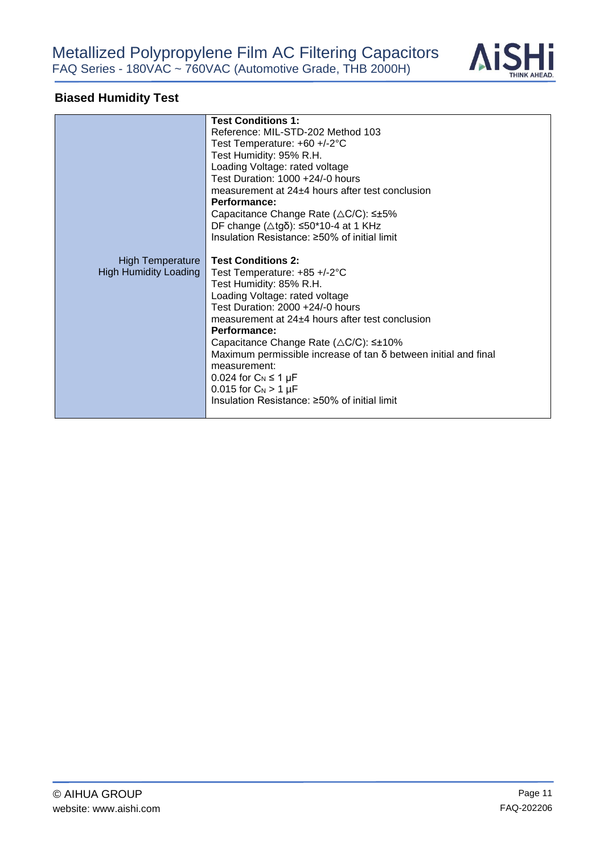

# **Biased Humidity Test**

|                       | <b>Test Conditions 1:</b>                                       |
|-----------------------|-----------------------------------------------------------------|
|                       | Reference: MIL-STD-202 Method 103                               |
|                       | Test Temperature: +60 +/-2°C                                    |
|                       | Test Humidity: 95% R.H.                                         |
|                       | Loading Voltage: rated voltage                                  |
|                       | Test Duration: 1000 +24/-0 hours                                |
|                       | measurement at 24±4 hours after test conclusion                 |
|                       | <b>Performance:</b>                                             |
|                       | Capacitance Change Rate ( $\triangle$ C/C): $\leq \pm 5\%$      |
|                       | DF change ( $\triangle$ tgδ): ≤50*10-4 at 1 KHz                 |
|                       | Insulation Resistance: ≥50% of initial limit                    |
|                       |                                                                 |
| High Temperature      | <b>Test Conditions 2:</b>                                       |
| High Humidity Loading | Test Temperature: $+85 + (-2^{\circ}C)$                         |
|                       | Test Humidity: 85% R.H.                                         |
|                       | Loading Voltage: rated voltage                                  |
|                       | Test Duration: 2000 +24/-0 hours                                |
|                       | measurement at 24±4 hours after test conclusion                 |
|                       | Performance:                                                    |
|                       |                                                                 |
|                       | Capacitance Change Rate ( $\triangle$ C/C): $\leq \pm 10\%$     |
|                       | Maximum permissible increase of tan δ between initial and final |
|                       | measurement:                                                    |
|                       | 0.024 for $C_N \leq 1 \mu F$                                    |
|                       | 0.015 for $C_N > 1 \mu F$                                       |
|                       | Insulation Resistance: ≥50% of initial limit                    |
|                       |                                                                 |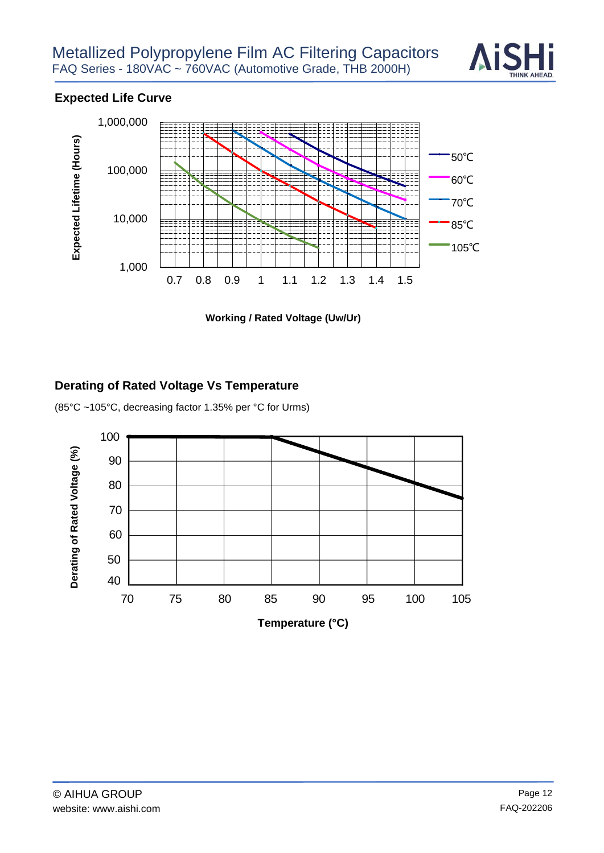

## **Expected Life Curve**



**Working / Rated Voltage (Uw/Ur)**

# **Derating of Rated Voltage Vs Temperature**

(85°C ~105°C, decreasing factor 1.35% per °C for Urms)

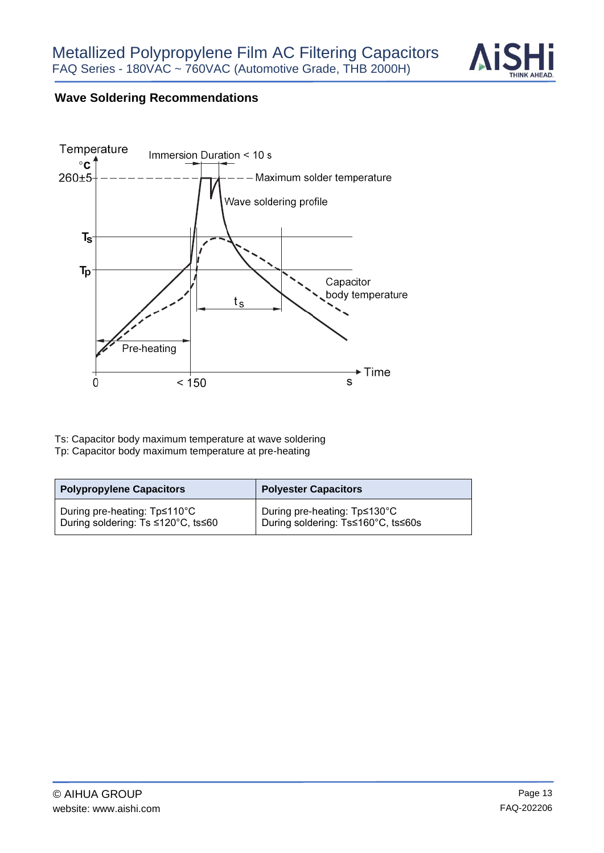

# **Wave Soldering Recommendations**



Ts: Capacitor body maximum temperature at wave soldering Tp: Capacitor body maximum temperature at pre-heating

| <b>Polypropylene Capacitors</b>    | <b>Polyester Capacitors</b>        |  |
|------------------------------------|------------------------------------|--|
| During pre-heating: Tp≤110°C       | During pre-heating: Tp≤130°C       |  |
| During soldering: Ts ≤120°C, ts≤60 | During soldering: Ts≤160°C, ts≤60s |  |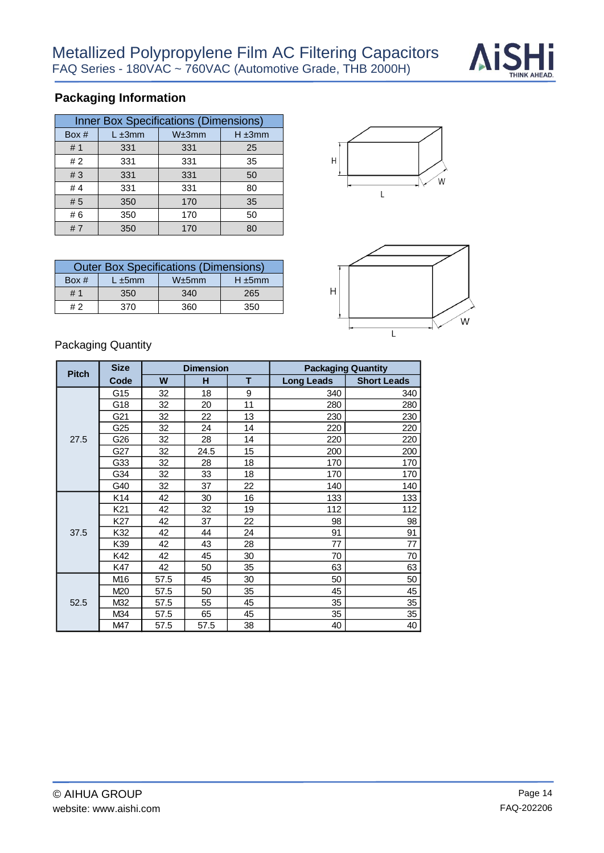

# **Packaging Information**

| <b>Inner Box Specifications (Dimensions)</b> |              |       |             |  |
|----------------------------------------------|--------------|-------|-------------|--|
| Box $#$                                      | $L \pm 3$ mm | W±3mm | $H \pm 3mm$ |  |
| #1                                           | 331          | 331   | 25          |  |
| #2                                           | 331          | 331   | 35          |  |
| #3                                           | 331          | 331   | 50          |  |
| #4                                           | 331          | 331   | 80          |  |
| #5                                           | 350          | 170   | 35          |  |
| #6                                           | 350          | 170   | 50          |  |
| #7                                           | 350          | 170   | 80          |  |

| <b>Outer Box Specifications (Dimensions)</b> |                                       |     |     |  |  |
|----------------------------------------------|---------------------------------------|-----|-----|--|--|
| Box $#$                                      | W±5mm<br>$H \pm 5$ mm<br>L $\pm 5$ mm |     |     |  |  |
| # 1                                          | 350                                   | 340 | 265 |  |  |
| #2                                           | 370                                   | 360 | 350 |  |  |





#### Packaging Quantity

| <b>Pitch</b> | <b>Size</b>     | <b>Dimension</b> |      |    | <b>Packaging Quantity</b> |                    |
|--------------|-----------------|------------------|------|----|---------------------------|--------------------|
|              | Code            | W                | н    | т  | <b>Long Leads</b>         | <b>Short Leads</b> |
|              | G15             | 32               | 18   | 9  | 340                       | 340                |
|              | G18             | 32               | 20   | 11 | 280                       | 280                |
|              | G21             | 32               | 22   | 13 | 230                       | 230                |
|              | G25             | 32               | 24   | 14 | 220                       | 220                |
| 27.5         | G26             | 32               | 28   | 14 | 220                       | 220                |
|              | G27             | 32               | 24.5 | 15 | 200                       | 200                |
|              | G33             | 32               | 28   | 18 | 170                       | 170                |
|              | G34             | 32               | 33   | 18 | 170                       | 170                |
|              | G40             | 32               | 37   | 22 | 140                       | 140                |
|              | K14             | 42               | 30   | 16 | 133                       | 133                |
|              | K <sub>21</sub> | 42               | 32   | 19 | 112                       | 112                |
|              | K27             | 42               | 37   | 22 | 98                        | 98                 |
| 37.5         | K32             | 42               | 44   | 24 | 91                        | 91                 |
|              | K39             | 42               | 43   | 28 | 77                        | 77                 |
|              | K42             | 42               | 45   | 30 | 70                        | 70                 |
|              | K47             | 42               | 50   | 35 | 63                        | 63                 |
|              | M16             | 57.5             | 45   | 30 | 50                        | 50                 |
| 52.5         | M20             | 57.5             | 50   | 35 | 45                        | 45                 |
|              | M32             | 57.5             | 55   | 45 | 35                        | 35                 |
|              | M34             | 57.5             | 65   | 45 | 35                        | 35                 |
|              | M47             | 57.5             | 57.5 | 38 | 40                        | 40                 |